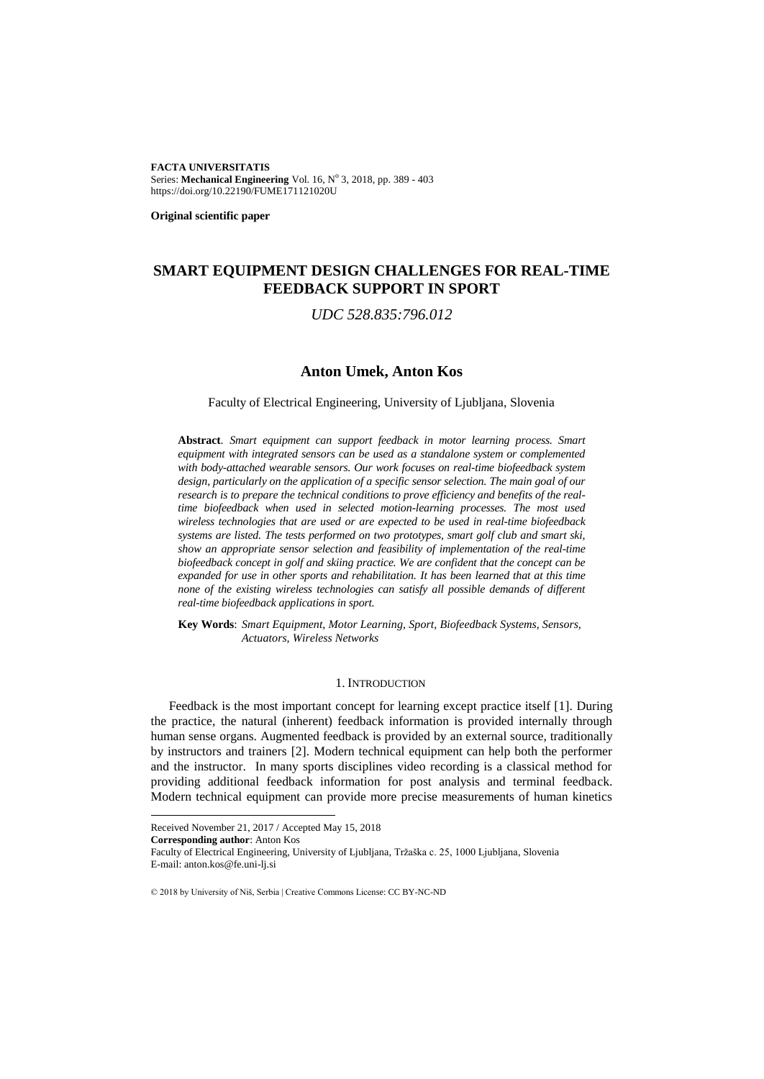**FACTA UNIVERSITATIS** Series: Mechanical Engineering Vol. 16, Nº 3, 2018, pp. 389 - 403 https://doi.org/10.22190/FUME171121020U

**Original scientific paper**

# **SMART EQUIPMENT DESIGN CHALLENGES FOR REAL-TIME FEEDBACK SUPPORT IN SPORT**

*UDC 528.835:796.012*

# **Anton Umek, Anton Kos**

### Faculty of Electrical Engineering, University of Ljubljana, Slovenia

**Abstract**. *Smart equipment can support feedback in motor learning process. Smart equipment with integrated sensors can be used as a standalone system or complemented with body-attached wearable sensors. Our work focuses on real-time biofeedback system design, particularly on the application of a specific sensor selection. The main goal of our research is to prepare the technical conditions to prove efficiency and benefits of the realtime biofeedback when used in selected motion-learning processes. The most used wireless technologies that are used or are expected to be used in real-time biofeedback systems are listed. The tests performed on two prototypes, smart golf club and smart ski, show an appropriate sensor selection and feasibility of implementation of the real-time biofeedback concept in golf and skiing practice. We are confident that the concept can be expanded for use in other sports and rehabilitation. It has been learned that at this time none of the existing wireless technologies can satisfy all possible demands of different real-time biofeedback applications in sport.*

**Key Words**: *Smart Equipment, Motor Learning, Sport, Biofeedback Systems, Sensors, Actuators, Wireless Networks*

#### 1. INTRODUCTION

Feedback is the most important concept for learning except practice itself [\[1\]](#page-13-0). During the practice, the natural (inherent) feedback information is provided internally through human sense organs. Augmented feedback is provided by an external source, traditionally by instructors and trainers [\[2\]](#page-13-1). Modern technical equipment can help both the performer and the instructor. In many sports disciplines video recording is a classical method for providing additional feedback information for post analysis and terminal feedback. Modern technical equipment can provide more precise measurements of human kinetics

**Corresponding author**: Anton Kos

l

Faculty of Electrical Engineering, University of Ljubljana, Tržaška c. 25, 1000 Ljubljana, Slovenia E-mail: anton.kos@fe.uni-lj.si

© 2018 by University of Niš, Serbia | Creative Commons License: CC BY-NC-ND

Received November 21, 2017 / Accepted May 15, 2018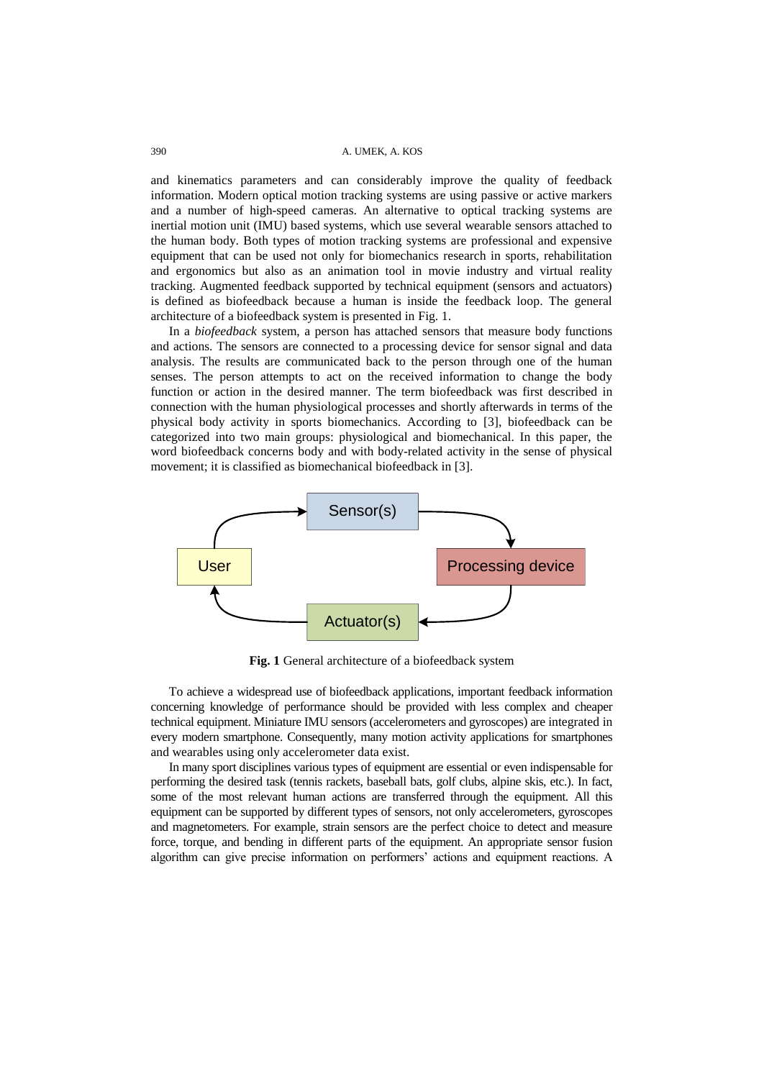and kinematics parameters and can considerably improve the quality of feedback information. Modern optical motion tracking systems are using passive or active markers and a number of high-speed cameras. An alternative to optical tracking systems are inertial motion unit (IMU) based systems, which use several wearable sensors attached to the human body. Both types of motion tracking systems are professional and expensive equipment that can be used not only for biomechanics research in sports, rehabilitation and ergonomics but also as an animation tool in movie industry and virtual reality tracking. Augmented feedback supported by technical equipment (sensors and actuators) is defined as biofeedback because a human is inside the feedback loop. The general architecture of a biofeedback system is presented in Fig. 1.

In a *biofeedback* system, a person has attached sensors that measure body functions and actions. The sensors are connected to a processing device for sensor signal and data analysis. The results are communicated back to the person through one of the human senses. The person attempts to act on the received information to change the body function or action in the desired manner. The term biofeedback was first described in connection with the human physiological processes and shortly afterwards in terms of the physical body activity in sports biomechanics. According to [\[3\]](#page-13-2), biofeedback can be categorized into two main groups: physiological and biomechanical. In this paper, the word biofeedback concerns body and with body-related activity in the sense of physical movement; it is classified as biomechanical biofeedback in [\[3\]](#page-13-2).



**Fig. 1** General architecture of a biofeedback system

To achieve a widespread use of biofeedback applications, important feedback information concerning knowledge of performance should be provided with less complex and cheaper technical equipment. Miniature IMU sensors (accelerometers and gyroscopes) are integrated in every modern smartphone. Consequently, many motion activity applications for smartphones and wearables using only accelerometer data exist.

In many sport disciplines various types of equipment are essential or even indispensable for performing the desired task (tennis rackets, baseball bats, golf clubs, alpine skis, etc.). In fact, some of the most relevant human actions are transferred through the equipment. All this equipment can be supported by different types of sensors, not only accelerometers, gyroscopes and magnetometers. For example, strain sensors are the perfect choice to detect and measure force, torque, and bending in different parts of the equipment. An appropriate sensor fusion algorithm can give precise information on performers' actions and equipment reactions. A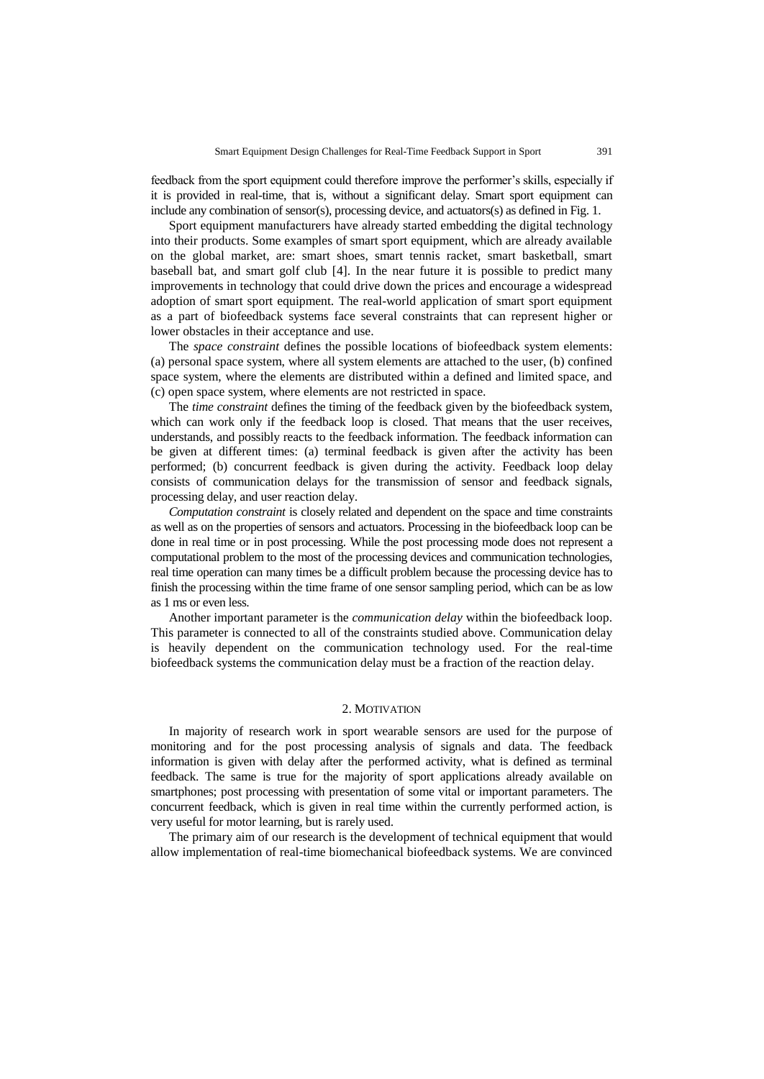feedback from the sport equipment could therefore improve the performer's skills, especially if it is provided in real-time, that is, without a significant delay. Smart sport equipment can include any combination of sensor(s), processing device, and actuators(s) as defined in Fig. 1.

Sport equipment manufacturers have already started embedding the digital technology into their products. Some examples of smart sport equipment, which are already available on the global market, are: smart shoes, smart tennis racket, smart basketball, smart baseball bat, and smart golf club [\[4\]](#page-13-3). In the near future it is possible to predict many improvements in technology that could drive down the prices and encourage a widespread adoption of smart sport equipment. The real-world application of smart sport equipment as a part of biofeedback systems face several constraints that can represent higher or lower obstacles in their acceptance and use.

The *space constraint* defines the possible locations of biofeedback system elements: (a) personal space system, where all system elements are attached to the user, (b) confined space system, where the elements are distributed within a defined and limited space, and (c) open space system, where elements are not restricted in space.

The *time constraint* defines the timing of the feedback given by the biofeedback system, which can work only if the feedback loop is closed. That means that the user receives, understands, and possibly reacts to the feedback information. The feedback information can be given at different times: (a) terminal feedback is given after the activity has been performed; (b) concurrent feedback is given during the activity. Feedback loop delay consists of communication delays for the transmission of sensor and feedback signals, processing delay, and user reaction delay.

*Computation constraint* is closely related and dependent on the space and time constraints as well as on the properties of sensors and actuators. Processing in the biofeedback loop can be done in real time or in post processing. While the post processing mode does not represent a computational problem to the most of the processing devices and communication technologies, real time operation can many times be a difficult problem because the processing device has to finish the processing within the time frame of one sensor sampling period, which can be as low as 1 ms or even less.

Another important parameter is the *communication delay* within the biofeedback loop. This parameter is connected to all of the constraints studied above. Communication delay is heavily dependent on the communication technology used. For the real-time biofeedback systems the communication delay must be a fraction of the reaction delay.

### 2. MOTIVATION

In majority of research work in sport wearable sensors are used for the purpose of monitoring and for the post processing analysis of signals and data. The feedback information is given with delay after the performed activity, what is defined as terminal feedback. The same is true for the majority of sport applications already available on smartphones; post processing with presentation of some vital or important parameters. The concurrent feedback, which is given in real time within the currently performed action, is very useful for motor learning, but is rarely used.

The primary aim of our research is the development of technical equipment that would allow implementation of real-time biomechanical biofeedback systems. We are convinced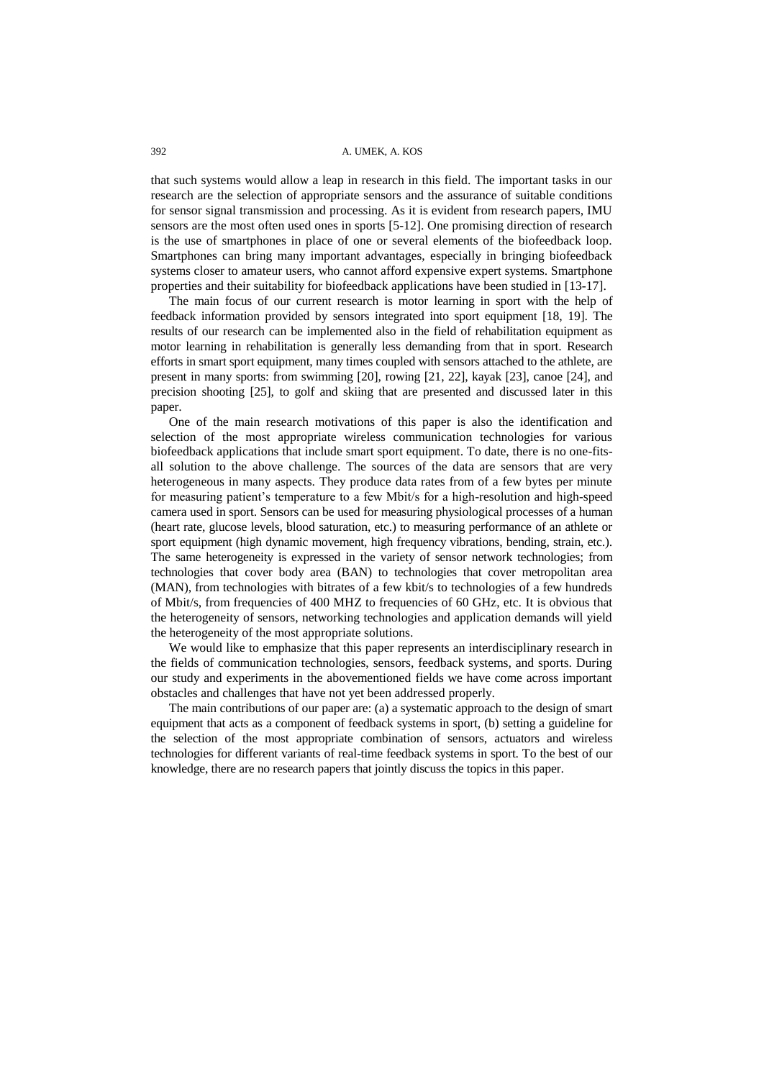that such systems would allow a leap in research in this field. The important tasks in our research are the selection of appropriate sensors and the assurance of suitable conditions for sensor signal transmission and processing. As it is evident from research papers, IMU sensors are the most often used ones in sports [\[5](#page-13-4)[-12\]](#page-13-5). One promising direction of research is the use of smartphones in place of one or several elements of the biofeedback loop. Smartphones can bring many important advantages, especially in bringing biofeedback systems closer to amateur users, who cannot afford expensive expert systems. Smartphone properties and their suitability for biofeedback applications have been studied in [\[13](#page-13-6)[-17\]](#page-14-0).

The main focus of our current research is motor learning in sport with the help of feedback information provided by sensors integrated into sport equipment [\[18,](#page-14-1) [19\]](#page-14-2). The results of our research can be implemented also in the field of rehabilitation equipment as motor learning in rehabilitation is generally less demanding from that in sport. Research efforts in smart sport equipment, many times coupled with sensors attached to the athlete, are present in many sports: from swimming [\[20\]](#page-14-3), rowing [\[21,](#page-14-4) [22\]](#page-14-5), kayak [\[23\]](#page-14-6), canoe [\[24\]](#page-14-7), and precision shooting [\[25\]](#page-14-8), to golf and skiing that are presented and discussed later in this paper.

One of the main research motivations of this paper is also the identification and selection of the most appropriate wireless communication technologies for various biofeedback applications that include smart sport equipment. To date, there is no one-fitsall solution to the above challenge. The sources of the data are sensors that are very heterogeneous in many aspects. They produce data rates from of a few bytes per minute for measuring patient's temperature to a few Mbit/s for a high-resolution and high-speed camera used in sport. Sensors can be used for measuring physiological processes of a human (heart rate, glucose levels, blood saturation, etc.) to measuring performance of an athlete or sport equipment (high dynamic movement, high frequency vibrations, bending, strain, etc.). The same heterogeneity is expressed in the variety of sensor network technologies; from technologies that cover body area (BAN) to technologies that cover metropolitan area (MAN), from technologies with bitrates of a few kbit/s to technologies of a few hundreds of Mbit/s, from frequencies of 400 MHZ to frequencies of 60 GHz, etc. It is obvious that the heterogeneity of sensors, networking technologies and application demands will yield the heterogeneity of the most appropriate solutions.

We would like to emphasize that this paper represents an interdisciplinary research in the fields of communication technologies, sensors, feedback systems, and sports. During our study and experiments in the abovementioned fields we have come across important obstacles and challenges that have not yet been addressed properly.

The main contributions of our paper are: (a) a systematic approach to the design of smart equipment that acts as a component of feedback systems in sport, (b) setting a guideline for the selection of the most appropriate combination of sensors, actuators and wireless technologies for different variants of real-time feedback systems in sport. To the best of our knowledge, there are no research papers that jointly discuss the topics in this paper.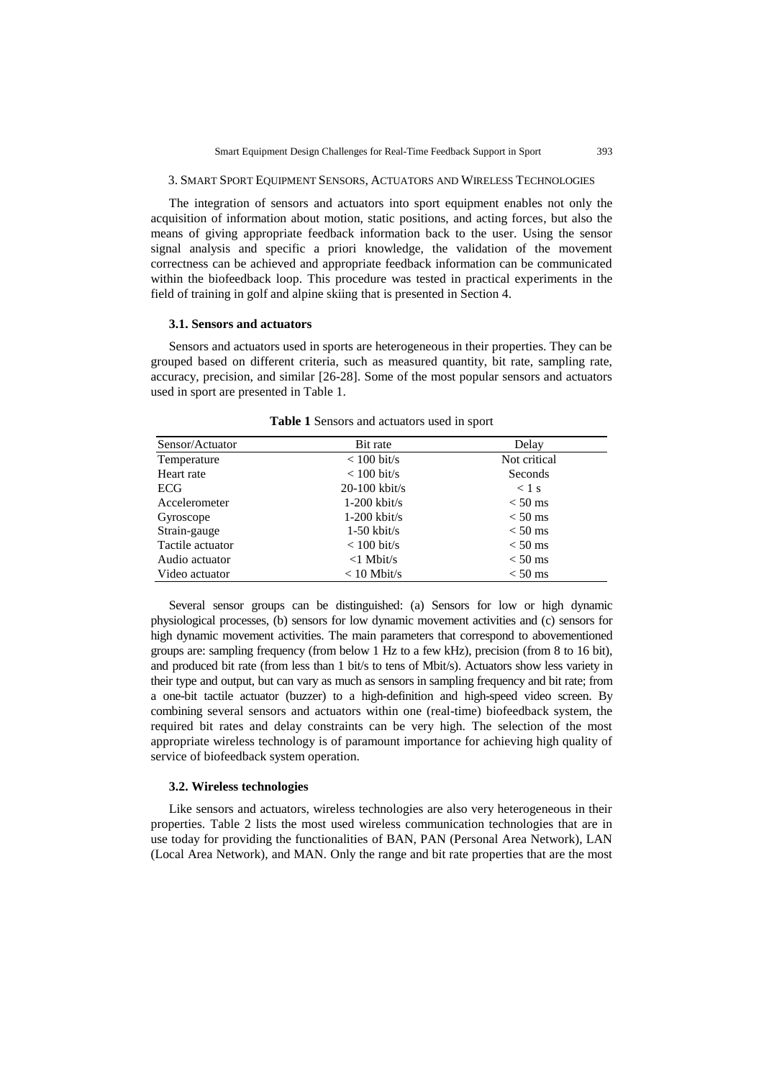### 3. SMART SPORT EQUIPMENT SENSORS, ACTUATORS AND WIRELESS TECHNOLOGIES

The integration of sensors and actuators into sport equipment enables not only the acquisition of information about motion, static positions, and acting forces, but also the means of giving appropriate feedback information back to the user. Using the sensor signal analysis and specific a priori knowledge, the validation of the movement correctness can be achieved and appropriate feedback information can be communicated within the biofeedback loop. This procedure was tested in practical experiments in the field of training in golf and alpine skiing that is presented in Section 4.

#### **3.1. Sensors and actuators**

Sensors and actuators used in sports are heterogeneous in their properties. They can be grouped based on different criteria, such as measured quantity, bit rate, sampling rate, accuracy, precision, and similar [\[26](#page-14-9)[-28\]](#page-14-10). Some of the most popular sensors and actuators used in sport are presented in Table 1.

| Sensor/Actuator  | Bit rate           | Delay        |
|------------------|--------------------|--------------|
| Temperature      | $< 100$ bit/s      | Not critical |
| Heart rate       | $< 100$ bit/s      | Seconds      |
| ECG              | $20-100$ kbit/s    | $<$ 1 s      |
| Accelerometer    | $1-200$ kbit/s     | $< 50$ ms    |
| Gyroscope        | $1-200$ kbit/s     | $< 50$ ms    |
| Strain-gauge     | $1-50$ kbit/s      | $< 50$ ms    |
| Tactile actuator | $< 100$ bit/s      | $< 50$ ms    |
| Audio actuator   | $\langle$ 1 Mbit/s | $< 50$ ms    |
| Video actuator   | $< 10$ Mbit/s      | $< 50$ ms    |

**Table 1** Sensors and actuators used in sport

Several sensor groups can be distinguished: (a) Sensors for low or high dynamic physiological processes, (b) sensors for low dynamic movement activities and (c) sensors for high dynamic movement activities. The main parameters that correspond to abovementioned groups are: sampling frequency (from below 1 Hz to a few kHz), precision (from 8 to 16 bit), and produced bit rate (from less than 1 bit/s to tens of Mbit/s). Actuators show less variety in their type and output, but can vary as much as sensors in sampling frequency and bit rate; from a one-bit tactile actuator (buzzer) to a high-definition and high-speed video screen. By combining several sensors and actuators within one (real-time) biofeedback system, the required bit rates and delay constraints can be very high. The selection of the most appropriate wireless technology is of paramount importance for achieving high quality of service of biofeedback system operation.

#### **3.2. Wireless technologies**

Like sensors and actuators, wireless technologies are also very heterogeneous in their properties. Table 2 lists the most used wireless communication technologies that are in use today for providing the functionalities of BAN, PAN (Personal Area Network), LAN (Local Area Network), and MAN. Only the range and bit rate properties that are the most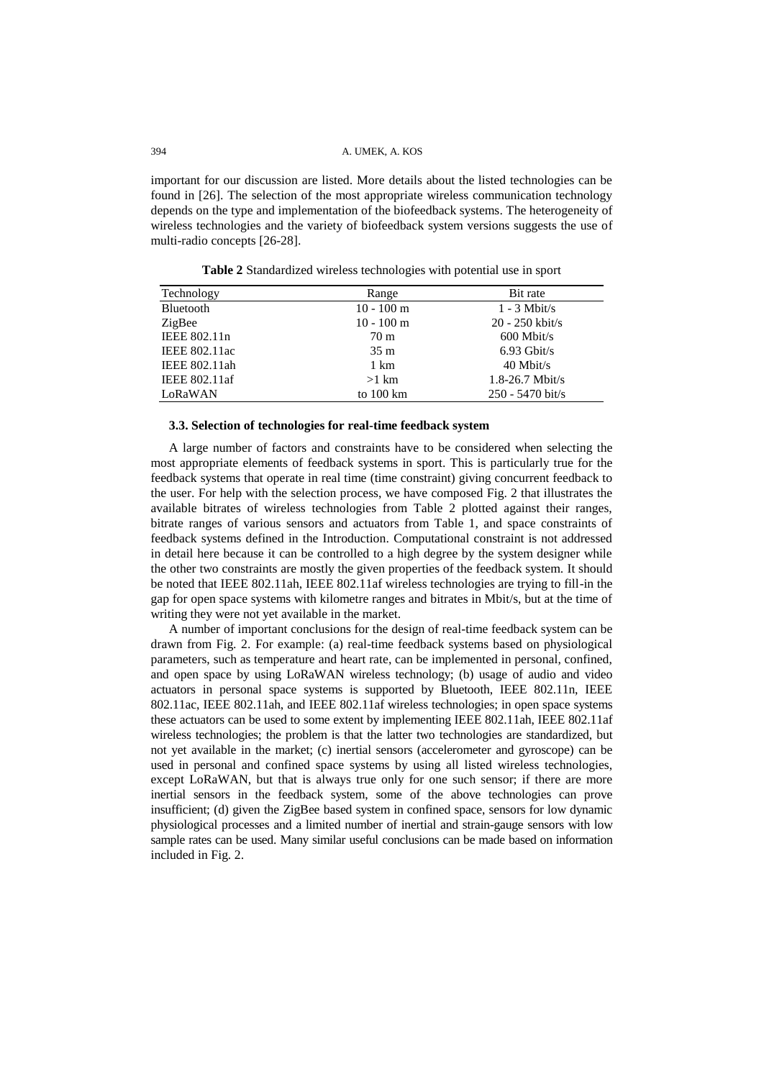important for our discussion are listed. More details about the listed technologies can be found in [\[26\]](#page-14-9). The selection of the most appropriate wireless communication technology depends on the type and implementation of the biofeedback systems. The heterogeneity of wireless technologies and the variety of biofeedback system versions suggests the use of multi-radio concepts [\[26-](#page-14-9)[28\]](#page-14-10).

| Technology           | Range                | Bit rate            |
|----------------------|----------------------|---------------------|
| Bluetooth            | $10 - 100$ m         | $1 - 3$ Mbit/s      |
| ZigBee               | $10 - 100$ m         | $20 - 250$ kbit/s   |
| IEEE 802.11n         | 70 <sub>m</sub>      | $600$ Mbit/s        |
| <b>IEEE 802.11ac</b> | 35 <sub>m</sub>      | $6.93$ Gbit/s       |
| IEEE 802.11ah        | 1 km                 | $40$ Mbit/s         |
| IEEE 802.11af        | $>1$ km              | $1.8 - 26.7$ Mbit/s |
| LoRaWAN              | to $100 \mathrm{km}$ | $250 - 5470$ bit/s  |

**Table 2** Standardized wireless technologies with potential use in sport

#### **3.3. Selection of technologies for real-time feedback system**

A large number of factors and constraints have to be considered when selecting the most appropriate elements of feedback systems in sport. This is particularly true for the feedback systems that operate in real time (time constraint) giving concurrent feedback to the user. For help with the selection process, we have composed Fig. 2 that illustrates the available bitrates of wireless technologies from Table 2 plotted against their ranges, bitrate ranges of various sensors and actuators from Table 1, and space constraints of feedback systems defined in the Introduction. Computational constraint is not addressed in detail here because it can be controlled to a high degree by the system designer while the other two constraints are mostly the given properties of the feedback system. It should be noted that IEEE 802.11ah, IEEE 802.11af wireless technologies are trying to fill-in the gap for open space systems with kilometre ranges and bitrates in Mbit/s, but at the time of writing they were not yet available in the market.

A number of important conclusions for the design of real-time feedback system can be drawn from Fig. 2. For example: (a) real-time feedback systems based on physiological parameters, such as temperature and heart rate, can be implemented in personal, confined, and open space by using LoRaWAN wireless technology; (b) usage of audio and video actuators in personal space systems is supported by Bluetooth, IEEE 802.11n, IEEE 802.11ac, IEEE 802.11ah, and IEEE 802.11af wireless technologies; in open space systems these actuators can be used to some extent by implementing IEEE 802.11ah, IEEE 802.11af wireless technologies; the problem is that the latter two technologies are standardized, but not yet available in the market; (c) inertial sensors (accelerometer and gyroscope) can be used in personal and confined space systems by using all listed wireless technologies, except LoRaWAN, but that is always true only for one such sensor; if there are more inertial sensors in the feedback system, some of the above technologies can prove insufficient; (d) given the ZigBee based system in confined space, sensors for low dynamic physiological processes and a limited number of inertial and strain-gauge sensors with low sample rates can be used. Many similar useful conclusions can be made based on information included in Fig. 2.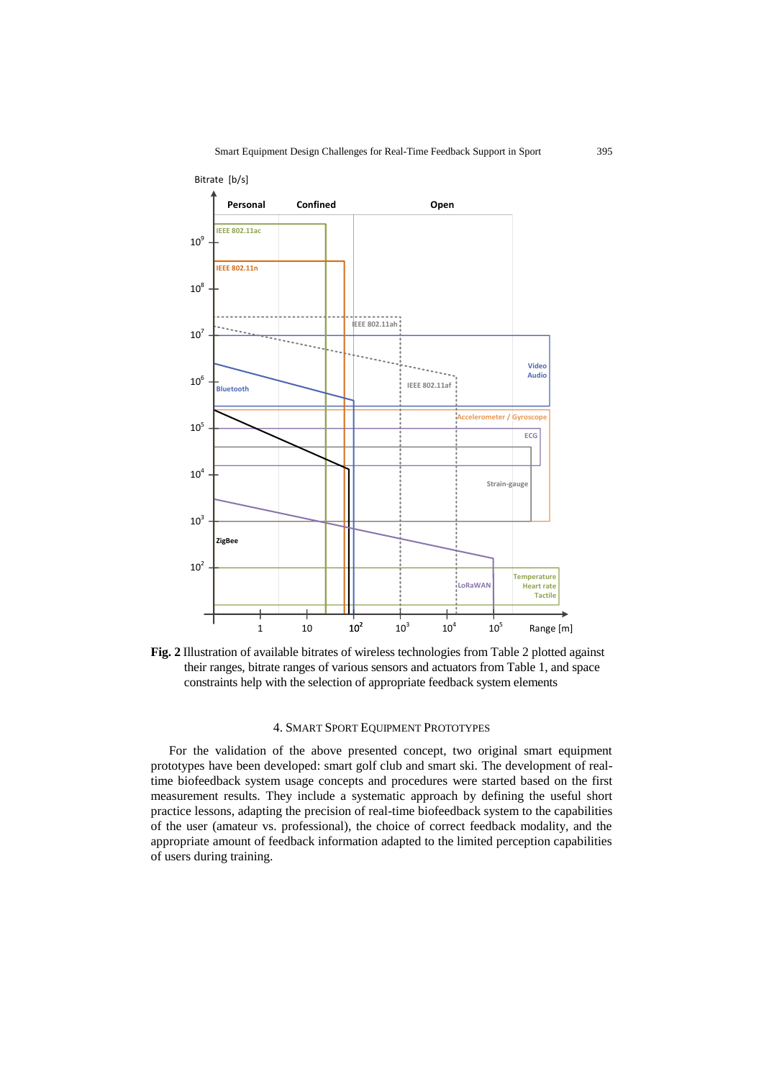

**Fig. 2** Illustration of available bitrates of wireless technologies from Table 2 plotted against their ranges, bitrate ranges of various sensors and actuators from Table 1, and space constraints help with the selection of appropriate feedback system elements

### 4. SMART SPORT EQUIPMENT PROTOTYPES

For the validation of the above presented concept, two original smart equipment prototypes have been developed: smart golf club and smart ski. The development of realtime biofeedback system usage concepts and procedures were started based on the first measurement results. They include a systematic approach by defining the useful short practice lessons, adapting the precision of real-time biofeedback system to the capabilities of the user (amateur vs. professional), the choice of correct feedback modality, and the appropriate amount of feedback information adapted to the limited perception capabilities of users during training.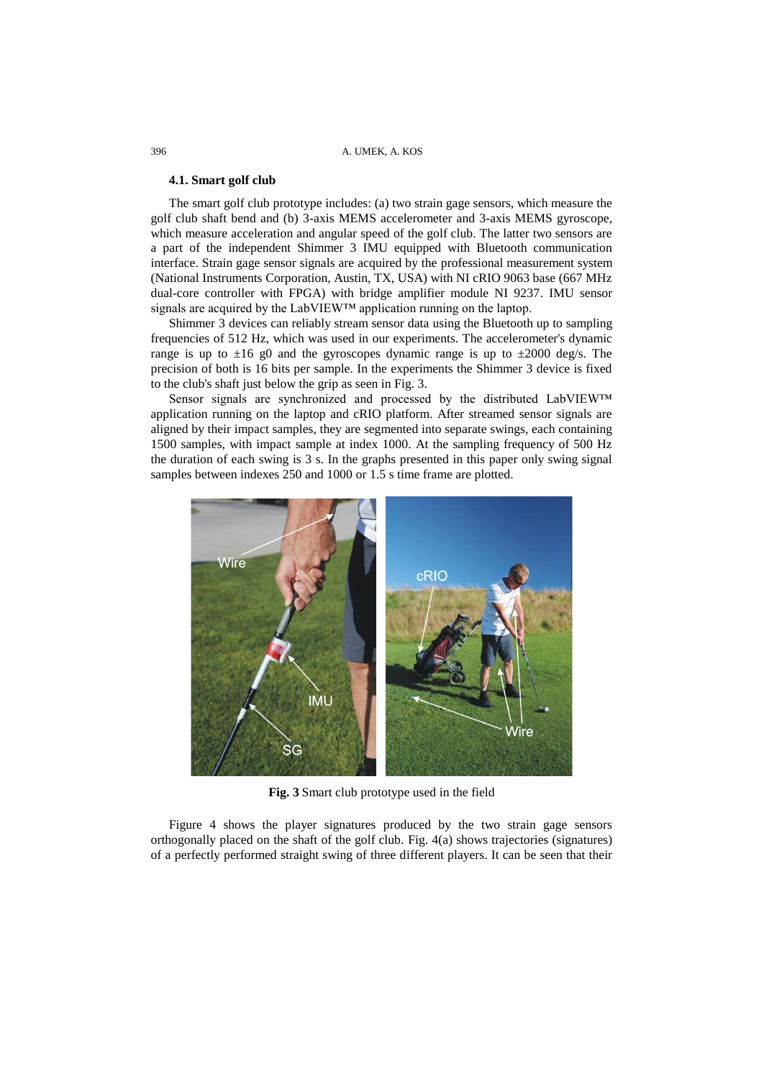#### **4.1. Smart golf club**

The smart golf club prototype includes: (a) two strain gage sensors, which measure the golf club shaft bend and (b) 3-axis MEMS accelerometer and 3-axis MEMS gyroscope, which measure acceleration and angular speed of the golf club. The latter two sensors are a part of the independent Shimmer 3 IMU equipped with Bluetooth communication interface. Strain gage sensor signals are acquired by the professional measurement system (National Instruments Corporation, Austin, TX, USA) with NI cRIO 9063 base (667 MHz dual-core controller with FPGA) with bridge amplifier module NI 9237. IMU sensor signals are acquired by the Lab∨IEW™ application running on the laptop.

Shimmer 3 devices can reliably stream sensor data using the Bluetooth up to sampling frequencies of 512 Hz, which was used in our experiments. The accelerometer's dynamic range is up to  $\pm 16$  g0 and the gyroscopes dynamic range is up to  $\pm 2000$  deg/s. The precision of both is 16 bits per sample. In the experiments the Shimmer 3 device is fixed to the club's shaft just below the grip as seen in Fig. 3.

Sensor signals are synchronized and processed by the distributed LabVIEW™ application running on the laptop and cRIO platform. After streamed sensor signals are aligned by their impact samples, they are segmented into separate swings, each containing 1500 samples, with impact sample at index 1000. At the sampling frequency of 500 Hz the duration of each swing is 3 s. In the graphs presented in this paper only swing signal samples between indexes 250 and 1000 or 1.5 s time frame are plotted.



**Fig. 3** Smart club prototype used in the field

Figure 4 shows the player signatures produced by the two strain gage sensors orthogonally placed on the shaft of the golf club. Fig. 4(a) shows trajectories (signatures) of a perfectly performed straight swing of three different players. It can be seen that their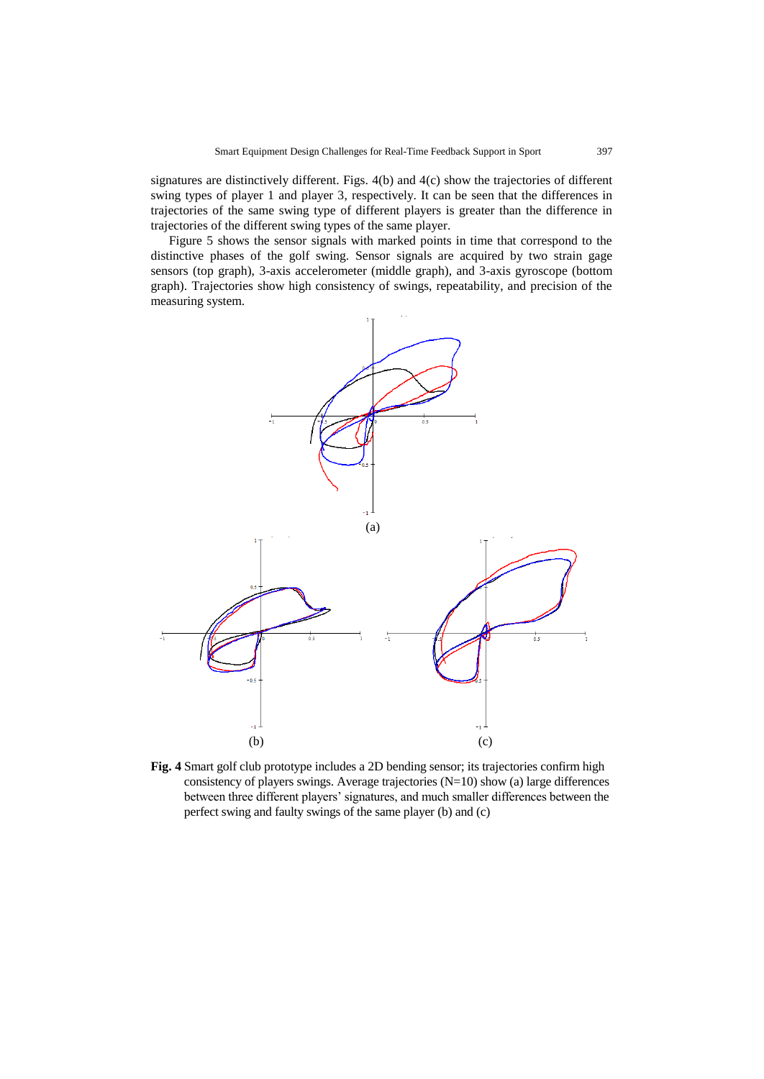signatures are distinctively different. Figs. 4(b) and 4(c) show the trajectories of different swing types of player 1 and player 3, respectively. It can be seen that the differences in trajectories of the same swing type of different players is greater than the difference in trajectories of the different swing types of the same player.

Figure 5 shows the sensor signals with marked points in time that correspond to the distinctive phases of the golf swing. Sensor signals are acquired by two strain gage sensors (top graph), 3-axis accelerometer (middle graph), and 3-axis gyroscope (bottom graph). Trajectories show high consistency of swings, repeatability, and precision of the measuring system.



**Fig. 4** Smart golf club prototype includes a 2D bending sensor; its trajectories confirm high consistency of players swings. Average trajectories (N=10) show (a) large differences between three different players' signatures, and much smaller differences between the perfect swing and faulty swings of the same player (b) and (c)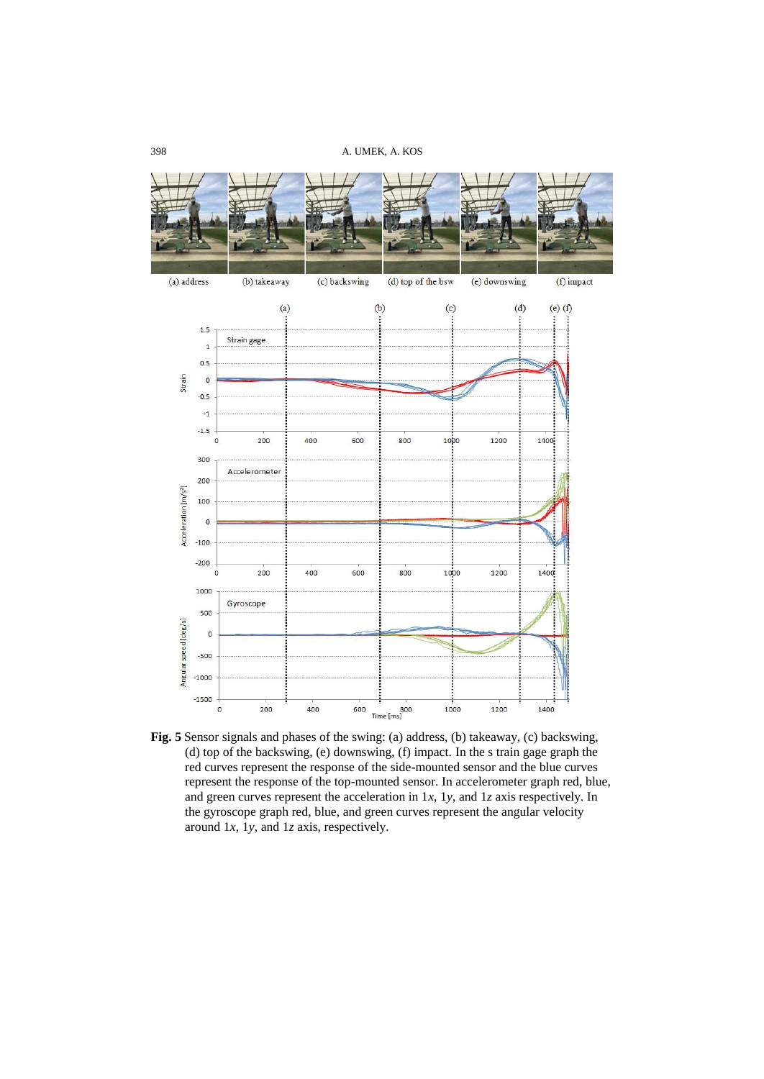

**Fig. 5** Sensor signals and phases of the swing: (a) address, (b) takeaway, (c) backswing, (d) top of the backswing, (e) downswing, (f) impact. In the s train gage graph the red curves represent the response of the side-mounted sensor and the blue curves represent the response of the top-mounted sensor. In accelerometer graph red, blue, and green curves represent the acceleration in 1*x*, 1*y*, and 1*z* axis respectively. In the gyroscope graph red, blue, and green curves represent the angular velocity around 1*x*, 1*y*, and 1*z* axis, respectively.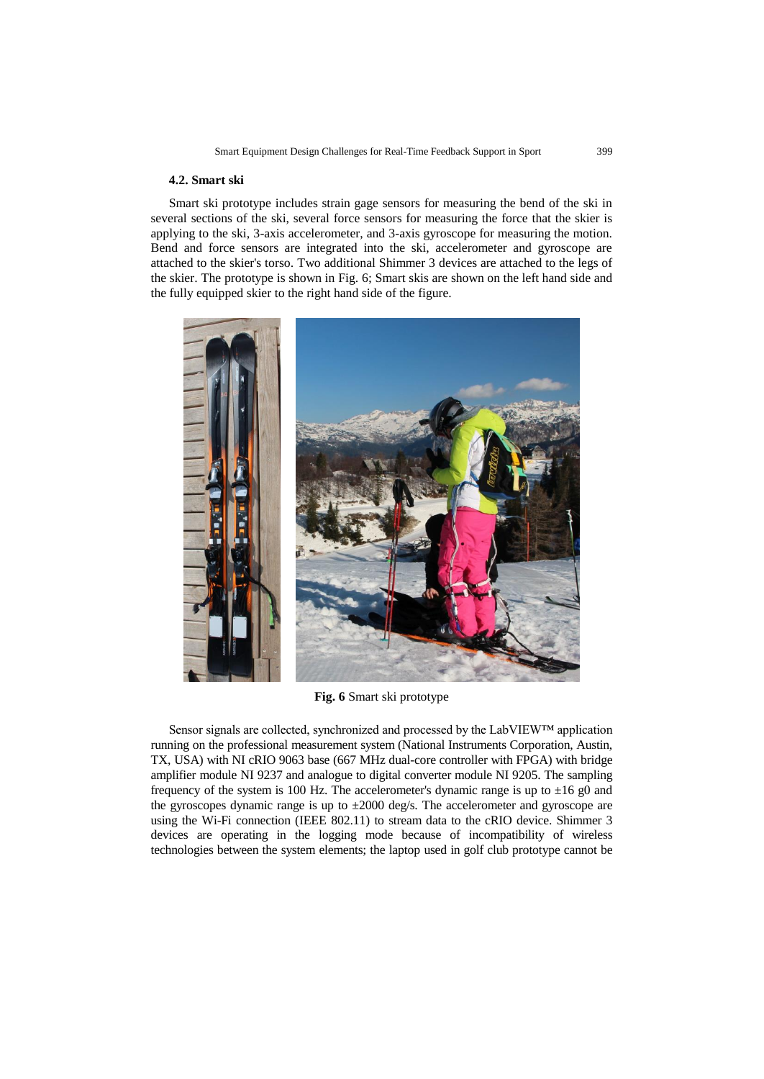### **4.2. Smart ski**

Smart ski prototype includes strain gage sensors for measuring the bend of the ski in several sections of the ski, several force sensors for measuring the force that the skier is applying to the ski, 3-axis accelerometer, and 3-axis gyroscope for measuring the motion. Bend and force sensors are integrated into the ski, accelerometer and gyroscope are attached to the skier's torso. Two additional Shimmer 3 devices are attached to the legs of the skier. The prototype is shown in Fig. 6; Smart skis are shown on the left hand side and the fully equipped skier to the right hand side of the figure.



**Fig. 6** Smart ski prototype

Sensor signals are collected, synchronized and processed by the LabVIEW™ application running on the professional measurement system (National Instruments Corporation, Austin, TX, USA) with NI cRIO 9063 base (667 MHz dual-core controller with FPGA) with bridge amplifier module NI 9237 and analogue to digital converter module NI 9205. The sampling frequency of the system is 100 Hz. The accelerometer's dynamic range is up to  $\pm 16$  g0 and the gyroscopes dynamic range is up to  $\pm 2000$  deg/s. The accelerometer and gyroscope are using the Wi-Fi connection (IEEE 802.11) to stream data to the cRIO device. Shimmer 3 devices are operating in the logging mode because of incompatibility of wireless technologies between the system elements; the laptop used in golf club prototype cannot be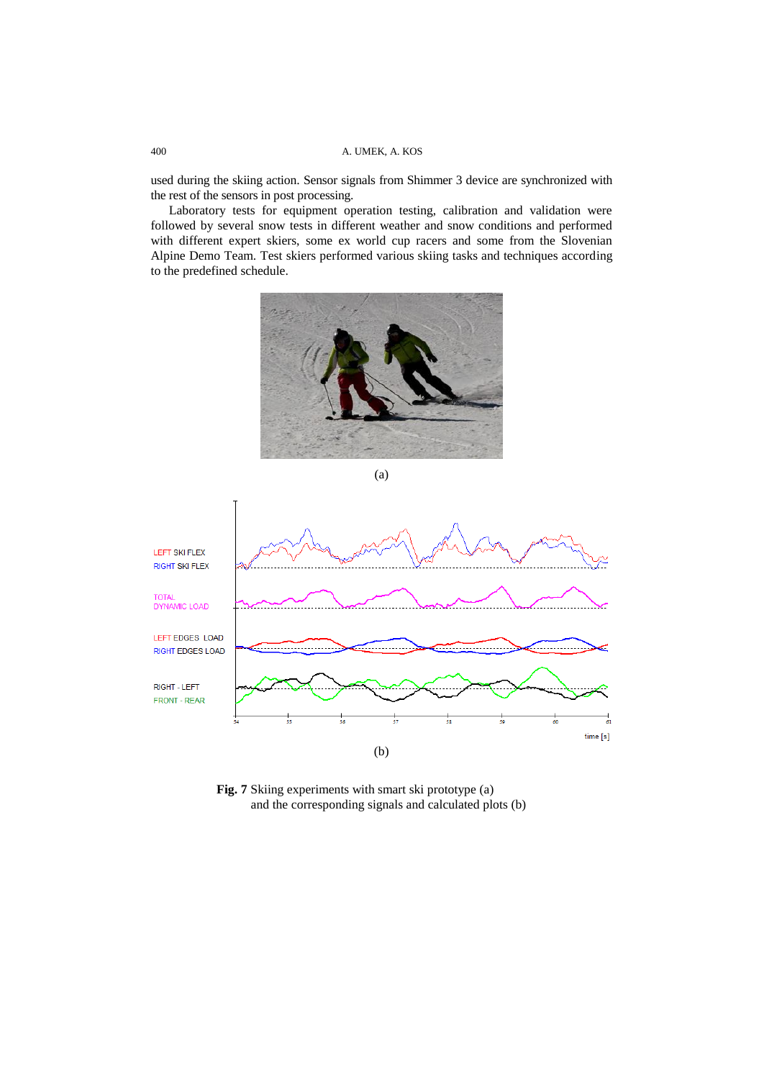used during the skiing action. Sensor signals from Shimmer 3 device are synchronized with the rest of the sensors in post processing.

Laboratory tests for equipment operation testing, calibration and validation were followed by several snow tests in different weather and snow conditions and performed with different expert skiers, some ex world cup racers and some from the Slovenian Alpine Demo Team. Test skiers performed various skiing tasks and techniques according to the predefined schedule.







Fig. 7 Skiing experiments with smart ski prototype (a) and the corresponding signals and calculated plots (b)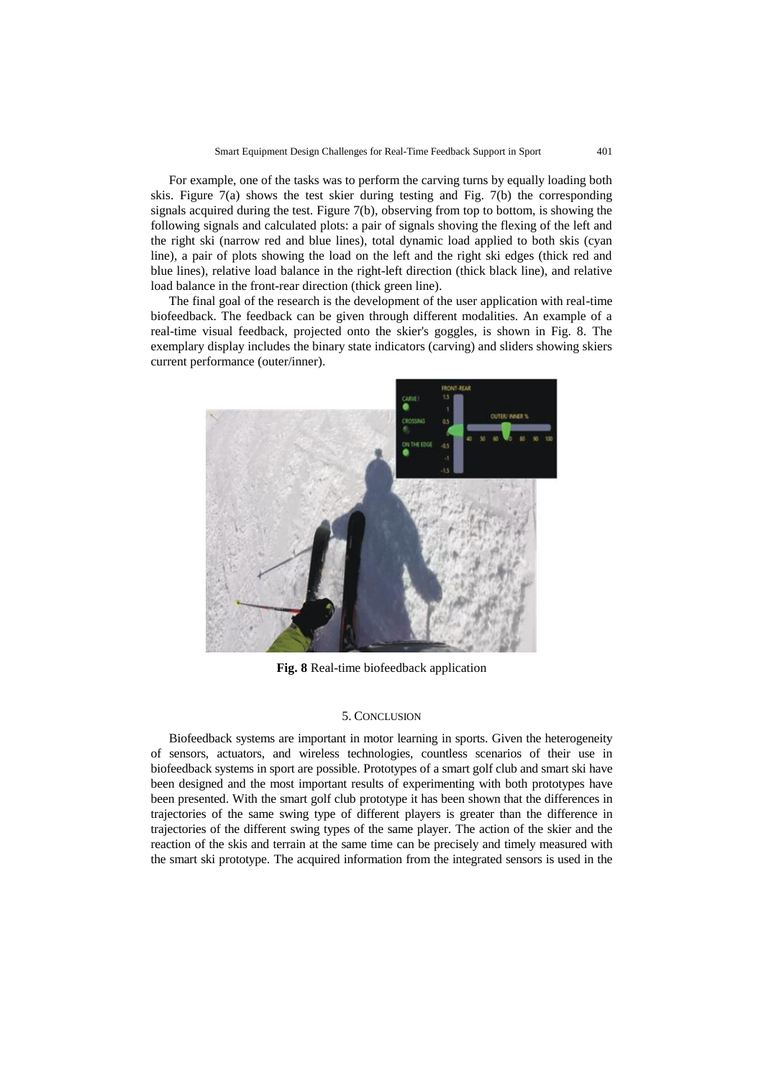For example, one of the tasks was to perform the carving turns by equally loading both skis. Figure 7(a) shows the test skier during testing and Fig. 7(b) the corresponding signals acquired during the test. Figure 7(b), observing from top to bottom, is showing the following signals and calculated plots: a pair of signals shoving the flexing of the left and the right ski (narrow red and blue lines), total dynamic load applied to both skis (cyan line), a pair of plots showing the load on the left and the right ski edges (thick red and blue lines), relative load balance in the right-left direction (thick black line), and relative load balance in the front-rear direction (thick green line).

The final goal of the research is the development of the user application with real-time biofeedback. The feedback can be given through different modalities. An example of a real-time visual feedback, projected onto the skier's goggles, is shown in Fig. 8. The exemplary display includes the binary state indicators (carving) and sliders showing skiers current performance (outer/inner).



**Fig. 8** Real-time biofeedback application

## 5. CONCLUSION

Biofeedback systems are important in motor learning in sports. Given the heterogeneity of sensors, actuators, and wireless technologies, countless scenarios of their use in biofeedback systems in sport are possible. Prototypes of a smart golf club and smart ski have been designed and the most important results of experimenting with both prototypes have been presented. With the smart golf club prototype it has been shown that the differences in trajectories of the same swing type of different players is greater than the difference in trajectories of the different swing types of the same player. The action of the skier and the reaction of the skis and terrain at the same time can be precisely and timely measured with the smart ski prototype. The acquired information from the integrated sensors is used in the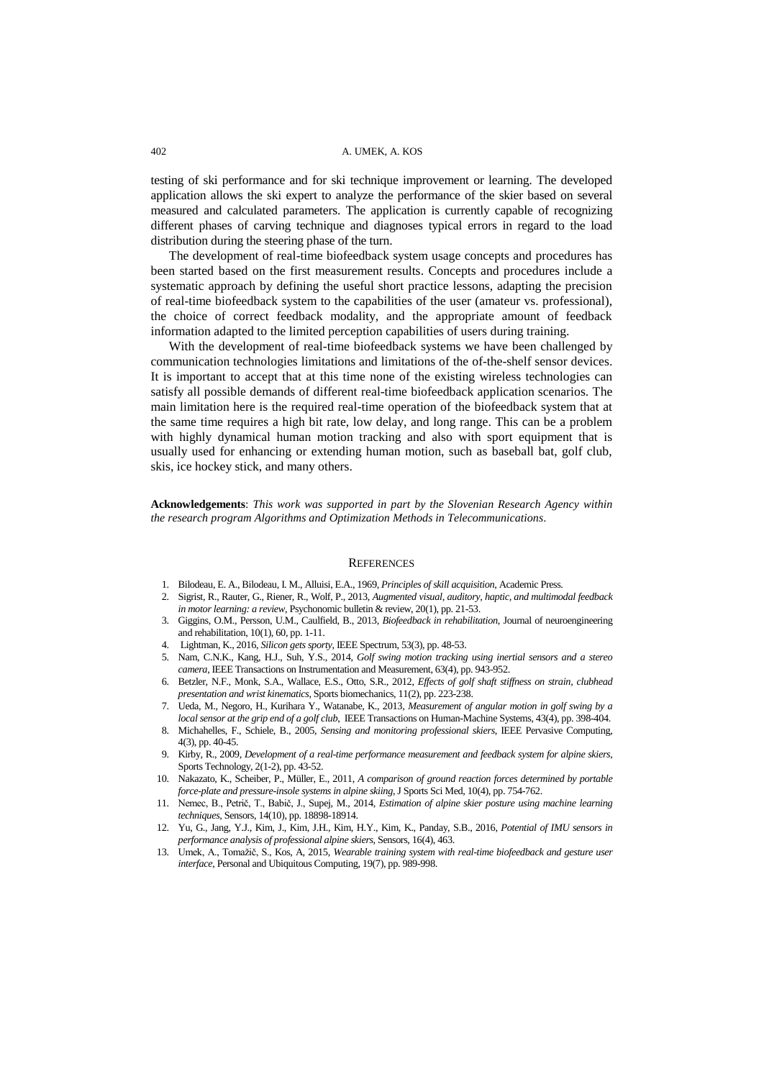testing of ski performance and for ski technique improvement or learning. The developed application allows the ski expert to analyze the performance of the skier based on several measured and calculated parameters. The application is currently capable of recognizing different phases of carving technique and diagnoses typical errors in regard to the load distribution during the steering phase of the turn.

The development of real-time biofeedback system usage concepts and procedures has been started based on the first measurement results. Concepts and procedures include a systematic approach by defining the useful short practice lessons, adapting the precision of real-time biofeedback system to the capabilities of the user (amateur vs. professional), the choice of correct feedback modality, and the appropriate amount of feedback information adapted to the limited perception capabilities of users during training.

With the development of real-time biofeedback systems we have been challenged by communication technologies limitations and limitations of the of-the-shelf sensor devices. It is important to accept that at this time none of the existing wireless technologies can satisfy all possible demands of different real-time biofeedback application scenarios. The main limitation here is the required real-time operation of the biofeedback system that at the same time requires a high bit rate, low delay, and long range. This can be a problem with highly dynamical human motion tracking and also with sport equipment that is usually used for enhancing or extending human motion, such as baseball bat, golf club, skis, ice hockey stick, and many others.

**Acknowledgements**: *This work was supported in part by the Slovenian Research Agency within the research program Algorithms and Optimization Methods in Telecommunications.*

#### **REFERENCES**

- <span id="page-13-0"></span>1. Bilodeau, E. A., Bilodeau, I. M., Alluisi, E.A., 1969, *Principles of skill acquisition*, Academic Press.
- <span id="page-13-1"></span>2. Sigrist, R., Rauter, G., Riener, R., Wolf, P., 2013, *Augmented visual, auditory, haptic, and multimodal feedback*
- *in motor learning: a review*, Psychonomic bulletin & review, 20(1), pp. 21-53.
- <span id="page-13-2"></span>3. Giggins, O.M., Persson, U.M., Caulfield, B., 2013, *Biofeedback in rehabilitation*, Journal of neuroengineering and rehabilitation, 10(1), 60, pp. 1-11.
- <span id="page-13-3"></span>4. Lightman, K., 2016, *Silicon gets sporty*, IEEE Spectrum, 53(3), pp. 48-53.
- <span id="page-13-4"></span>5. Nam, C.N.K., Kang, H.J., Suh, Y.S., 2014, *Golf swing motion tracking using inertial sensors and a stereo camera*, IEEE Transactions on Instrumentation and Measurement, 63(4), pp. 943-952.
- 6. Betzler, N.F., Monk, S.A., Wallace, E.S., Otto, S.R., 2012, *Effects of golf shaft stiffness on strain, clubhead presentation and wrist kinematics*, Sports biomechanics, 11(2), pp. 223-238.
- 7. Ueda, M., Negoro, H., Kurihara Y., Watanabe, K., 2013, *Measurement of angular motion in golf swing by a local sensor at the grip end of a golf club*, IEEE Transactions on Human-Machine Systems, 43(4), pp. 398-404.
- 8. Michahelles, F., Schiele, B., 2005, *Sensing and monitoring professional skiers*, IEEE Pervasive Computing, 4(3), pp. 40-45.
- 9. Kirby, R., 2009, *Development of a real-time performance measurement and feedback system for alpine skiers*, Sports Technology, 2(1-2), pp. 43-52.
- 10. Nakazato, K., Scheiber, P., Müller, E., 2011, *A comparison of ground reaction forces determined by portable force-plate and pressure-insole systems in alpine skiing*, J Sports Sci Med, 10(4), pp. 754-762.
- 11. Nemec, B., Petrič, T., Babič, J., Supej, M., 2014, *Estimation of alpine skier posture using machine learning techniques*, Sensors, 14(10), pp. 18898-18914.
- <span id="page-13-5"></span>12. Yu, G., Jang, Y.J., Kim, J., Kim, J.H., Kim, H.Y., Kim, K., Panday, S.B., 2016, *Potential of IMU sensors in performance analysis of professional alpine skiers*, Sensors, 16(4), 463.
- <span id="page-13-6"></span>13. Umek, A., Tomažič, S., Kos, A, 2015, *Wearable training system with real-time biofeedback and gesture user interface*, Personal and Ubiquitous Computing, 19(7), pp. 989-998.